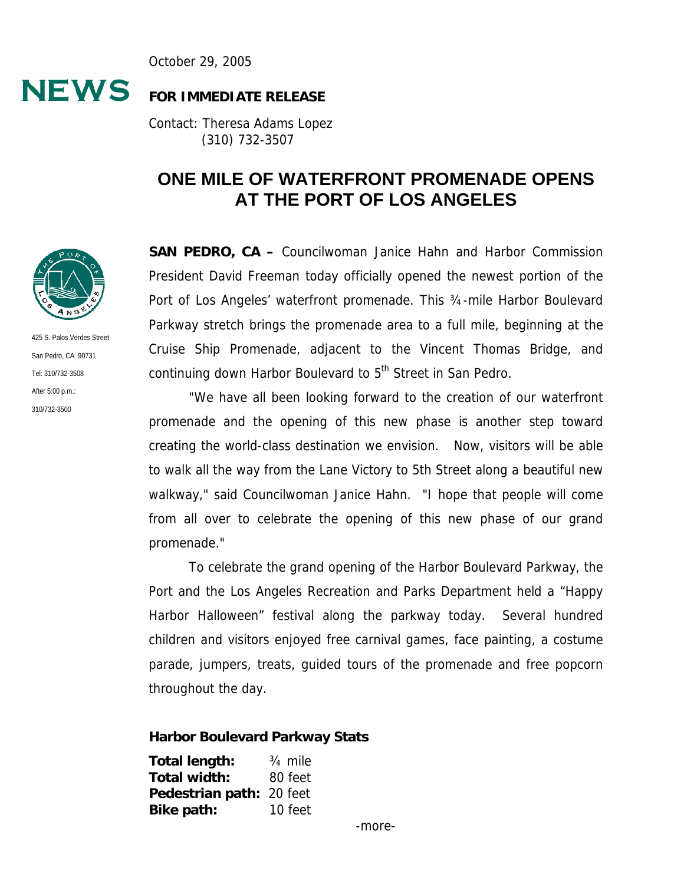October 29, 2005



#### **FOR IMMEDIATE RELEASE**

Contact: Theresa Adams Lopez (310) 732-3507

# **ONE MILE OF WATERFRONT PROMENADE OPENS AT THE PORT OF LOS ANGELES**

**SAN PEDRO, CA –** Councilwoman Janice Hahn and Harbor Commission President David Freeman today officially opened the newest portion of the Port of Los Angeles' waterfront promenade. This ¾-mile Harbor Boulevard Parkway stretch brings the promenade area to a full mile, beginning at the Cruise Ship Promenade, adjacent to the Vincent Thomas Bridge, and continuing down Harbor Boulevard to 5<sup>th</sup> Street in San Pedro.

"We have all been looking forward to the creation of our waterfront promenade and the opening of this new phase is another step toward creating the world-class destination we envision. Now, visitors will be able to walk all the way from the Lane Victory to 5th Street along a beautiful new walkway," said Councilwoman Janice Hahn. "I hope that people will come from all over to celebrate the opening of this new phase of our grand promenade."

To celebrate the grand opening of the Harbor Boulevard Parkway, the Port and the Los Angeles Recreation and Parks Department held a "Happy Harbor Halloween" festival along the parkway today. Several hundred children and visitors enjoyed free carnival games, face painting, a costume parade, jumpers, treats, guided tours of the promenade and free popcorn throughout the day.

#### **Harbor Boulevard Parkway Stats**

| Total length:            | 3/ <sub>4</sub> mile |
|--------------------------|----------------------|
| Total width:             | 80 feet              |
| Pedestrian path: 20 feet |                      |
| Bike path:               | 10 feet              |



425 S. Palos Verdes Street San Pedro, CA 90731 Tel: 310/732-3508 After 5:00 p.m.: 310/732-3500